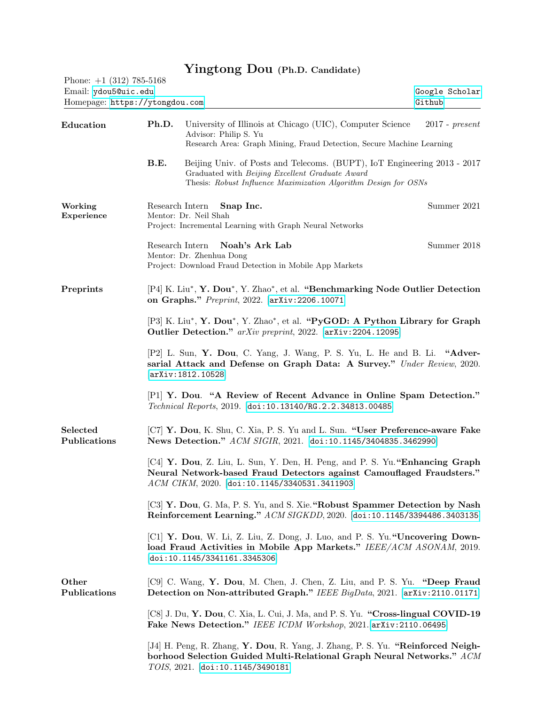## Phone: +1 (312) 785-5168 Email: [ydou5@uic.edu](mailto:ydou5@uic.edu) Homepage: <https://ytongdou.com> [Google Scholar](https://scholar.google.com/citations?user=m5GpWLYAAAAJ) [Github](https://github.com/YingtongDou) Education Ph.D. University of Illinois at Chicago (UIC), Computer Science 2017 - present Advisor: Philip S. Yu Research Area: Graph Mining, Fraud Detection, Secure Machine Learning B.E. Beijing Univ. of Posts and Telecoms. (BUPT), IoT Engineering 2013 - 2017 Graduated with Beijing Excellent Graduate Award Thesis: Robust Influence Maximization Algorithm Design for OSNs Working Experience Research Intern Snap Inc. Summer 2021 Mentor: Dr. Neil Shah Project: Incremental Learning with Graph Neural Networks Research Intern **Noah's Ark Lab** Summer 2018 Mentor: Dr. Zhenhua Dong Project: Download Fraud Detection in Mobile App Markets Preprints [P4] K. Liu<sup>\*</sup>, **Y. Dou**<sup>\*</sup>, Y. Zhao<sup>\*</sup>, et al. "Benchmarking Node Outlier Detection on Graphs." Preprint, 2022. [[arXiv:2206.10071](https://arxiv.org/pdf/2206.10071.pdf)] [P3] K. Liu\*, Y. Dou\*, Y. Zhao\*, et al. "PyGOD: A Python Library for Graph Outlier Detection." arXiv preprint, 2022. [[arXiv:2204.12095](https://arxiv.org/pdf/2204.12095.pdf)] [P2] L. Sun, Y. Dou, C. Yang, J. Wang, P. S. Yu, L. He and B. Li. "Adversarial Attack and Defense on Graph Data: A Survey." Under Review, 2020. [[arXiv:1812.10528](https://arxiv.org/pdf/1812.10528.pdf)] [P1] Y. Dou. "A Review of Recent Advance in Online Spam Detection." Technical Reports, 2019. [[doi:10.13140/RG.2.2.34813.00485](https://www.researchgate.net/publication/331792326_A_Review_of_Recent_Advance_in_Online_Spam_Detection)] Selected Publications [C7] Y. Dou, K. Shu, C. Xia, P. S. Yu and L. Sun. "User Preference-aware Fake News Detection." ACM SIGIR, 2021. [[doi:10.1145/3404835.3462990](https://arxiv.org/pdf/2104.12259.pdf)] [C4] Y. Dou, Z. Liu, L. Sun, Y. Den, H. Peng, and P. S. Yu."Enhancing Graph Neural Network-based Fraud Detectors against Camouflaged Fraudsters." ACM CIKM, 2020. [[doi:10.1145/3340531.3411903](https://arxiv.org/pdf/2008.08692.pdf)] [C3] Y. Dou, G. Ma, P. S. Yu, and S. Xie."Robust Spammer Detection by Nash Reinforcement Learning." ACM SIGKDD, 2020. [[doi:10.1145/3394486.3403135](https://arxiv.org/pdf/2006.06069.pdf)] [C1] Y. Dou, W. Li, Z. Liu, Z. Dong, J. Luo, and P. S. Yu."Uncovering Download Fraud Activities in Mobile App Markets." IEEE/ACM ASONAM, 2019. [[doi:10.1145/3341161.3345306](https://arxiv.org/pdf/1907.03048.pdf)] **Other** Publications [C9] C. Wang, Y. Dou, M. Chen, J. Chen, Z. Liu, and P. S. Yu. "Deep Fraud Detection on Non-attributed Graph." IEEE BigData, 2021. [[arXiv:2110.01171](https://arxiv.org/pdf/2110.01171.pdf)] [C8] J. Du, Y. Dou, C. Xia, L. Cui, J. Ma, and P. S. Yu. "Cross-lingual COVID-19 Fake News Detection." IEEE ICDM Workshop, 2021.[[arXiv:2110.06495](https://arxiv.org/pdf/2110.06495.pdf)] [J4] H. Peng, R. Zhang, Y. Dou, R. Yang, J. Zhang, P. S. Yu. "Reinforced Neighborhood Selection Guided Multi-Relational Graph Neural Networks." ACM TOIS, 2021. [[doi:10.1145/3490181](https://arxiv.org/pdf/2104.07886.pdf)]

## Yingtong Dou (Ph.D. Candidate)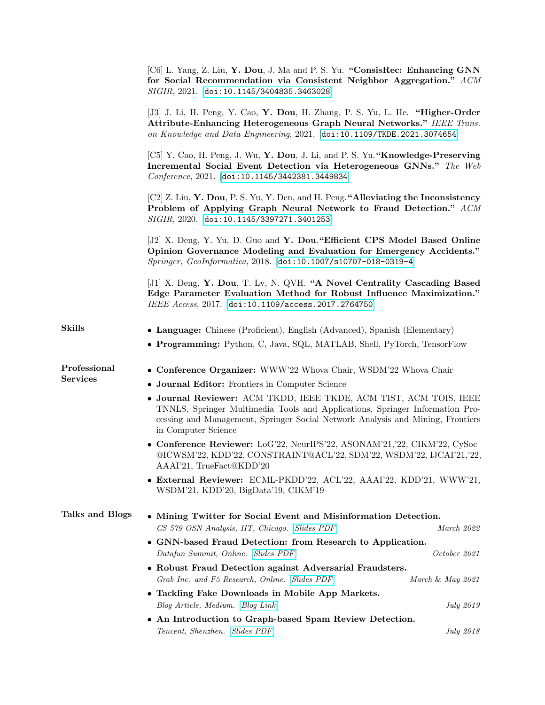|                                 | [C6] L. Yang, Z. Liu, Y. Dou, J. Ma and P. S. Yu. "ConsisRec: Enhancing GNN<br>for Social Recommendation via Consistent Neighbor Aggregation." ACM<br>SIGIR, 2021. [doi:10.1145/3404835.3463028]                                                           |  |  |
|---------------------------------|------------------------------------------------------------------------------------------------------------------------------------------------------------------------------------------------------------------------------------------------------------|--|--|
|                                 | [J3] J. Li, H. Peng, Y. Cao, Y. Dou, H. Zhang, P. S. Yu, L. He. "Higher-Order"<br>Attribute-Enhancing Heterogeneous Graph Neural Networks." IEEE Trans.<br>on Knowledge and Data Engineering, 2021. [doi:10.1109/TKDE.2021.3074654]                        |  |  |
|                                 | [C5] Y. Cao, H. Peng, J. Wu, Y. Dou, J. Li, and P. S. Yu. "Knowledge-Preserving<br>Incremental Social Event Detection via Heterogeneous GNNs." The Web<br>$Conference, 2021. [doi:10.1145/3442381.3449834]$                                                |  |  |
|                                 | $[C2]$ Z. Liu, Y. Dou, P. S. Yu, Y. Den, and H. Peng. "Alleviating the Inconsistency<br>Problem of Applying Graph Neural Network to Fraud Detection." ACM<br>SIGIR, 2020. [doi:10.1145/3397271.3401253]                                                    |  |  |
|                                 | [J2] X. Deng, Y. Yu, D. Guo and Y. Dou. "Efficient CPS Model Based Online<br>Opinion Governance Modeling and Evaluation for Emergency Accidents."<br>Springer, GeoInformatica, 2018. [doi:10.1007/s10707-018-0319-4]                                       |  |  |
|                                 | [J1] X. Deng, Y. Dou, T. Lv, N. QVH. "A Novel Centrality Cascading Based<br>Edge Parameter Evaluation Method for Robust Influence Maximization."<br>IEEE Access, 2017. [doi:10.1109/access.2017.2764750]                                                   |  |  |
| <b>Skills</b>                   | • Language: Chinese (Proficient), English (Advanced), Spanish (Elementary)                                                                                                                                                                                 |  |  |
|                                 | • Programming: Python, C, Java, SQL, MATLAB, Shell, PyTorch, TensorFlow                                                                                                                                                                                    |  |  |
| Professional<br><b>Services</b> | • Conference Organizer: WWW'22 Whova Chair, WSDM'22 Whova Chair                                                                                                                                                                                            |  |  |
|                                 | • Journal Editor: Frontiers in Computer Science                                                                                                                                                                                                            |  |  |
|                                 | • Journal Reviewer: ACM TKDD, IEEE TKDE, ACM TIST, ACM TOIS, IEEE<br>TNNLS, Springer Multimedia Tools and Applications, Springer Information Pro-<br>cessing and Management, Springer Social Network Analysis and Mining, Frontiers<br>in Computer Science |  |  |
|                                 | • Conference Reviewer: LoG'22, NeurIPS'22, ASONAM'21, '22, CIKM'22, CySoc<br>@ICWSM'22, KDD'22, CONSTRAINT@ACL'22, SDM'22, WSDM'22, IJCAI'21, '22,<br>AAAI'21, TrueFact@KDD'20                                                                             |  |  |
|                                 | • External Reviewer: ECML-PKDD'22, ACL'22, AAAI'22, KDD'21, WWW'21,<br>WSDM'21, KDD'20, BigData'19, CIKM'19                                                                                                                                                |  |  |
| Talks and Blogs                 | • Mining Twitter for Social Event and Misinformation Detection.<br>CS 579 OSN Analysis, IIT, Chicago. [Slides PDF]<br>March 2022                                                                                                                           |  |  |
|                                 | • GNN-based Fraud Detection: from Research to Application.                                                                                                                                                                                                 |  |  |
|                                 | Datafun Summit, Online. [Slides PDF]<br>October 2021                                                                                                                                                                                                       |  |  |
|                                 | • Robust Fraud Detection against Adversarial Fraudsters.<br>Grab Inc. and F5 Research, Online. [Slides PDF]<br>March & May 2021                                                                                                                            |  |  |
|                                 | • Tackling Fake Downloads in Mobile App Markets.                                                                                                                                                                                                           |  |  |
|                                 | Blog Article, Medium. [Blog Link]<br><i>July</i> 2019                                                                                                                                                                                                      |  |  |
|                                 | • An Introduction to Graph-based Spam Review Detection.<br>Tencent, Shenzhen. [Slides PDF]<br><i>July 2018</i>                                                                                                                                             |  |  |
|                                 |                                                                                                                                                                                                                                                            |  |  |